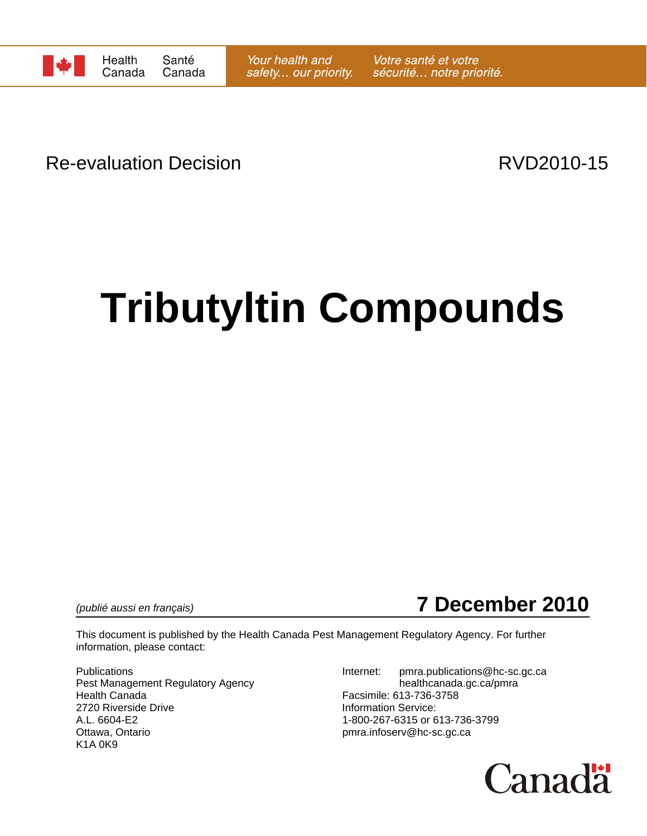

Re-evaluation Decision **Re-evaluation** Decision

# **Tributyltin Compounds**



This document is published by the Health Canada Pest Management Regulatory Agency. For further information, please contact:

Pest Management Regulatory Agency healthcanada.gc.ca/pmra Health Canada Facsimile: 613-736-3758 2720 Riverside Drive **Information Service:**<br>A.L. 6604-E2 **Information Service:** 1-800-267-6315 or 6 A.L. 6604-E2 1-800-267-6315 or 613-736-3799<br>Ottawa, Ontario 11-800-267-6315 or 613-736-3799 K1A 0K9

Publications **Internet:** pmra.publications@hc-sc.gc.ca pmra.infoserv@hc-sc.gc.ca

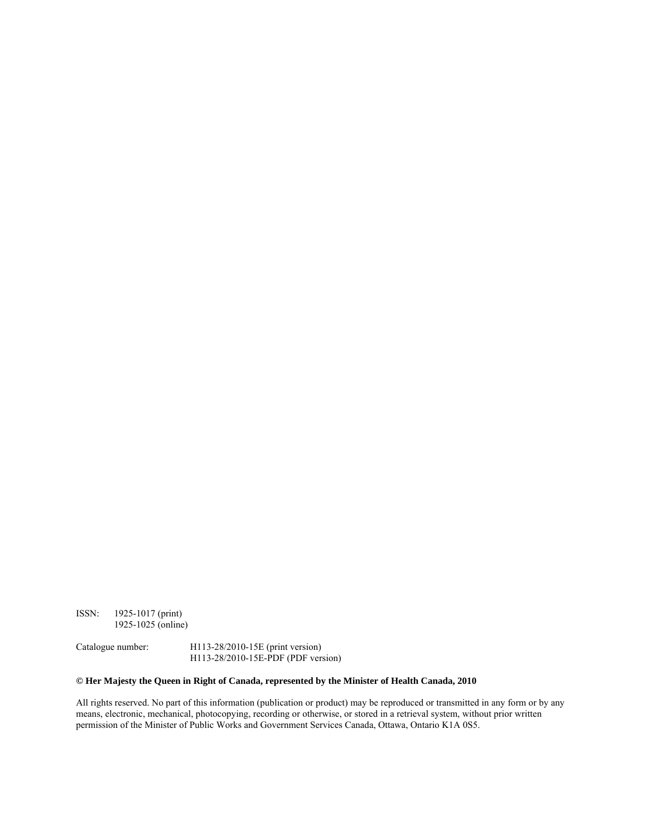ISSN: 1925-1017 (print) 1925-1025 (online)

Catalogue number: H113-28/2010-15E (print version) H113-28/2010-15E-PDF (PDF version)

#### **© Her Majesty the Queen in Right of Canada, represented by the Minister of Health Canada, 2010**

All rights reserved. No part of this information (publication or product) may be reproduced or transmitted in any form or by any means, electronic, mechanical, photocopying, recording or otherwise, or stored in a retrieval system, without prior written permission of the Minister of Public Works and Government Services Canada, Ottawa, Ontario K1A 0S5.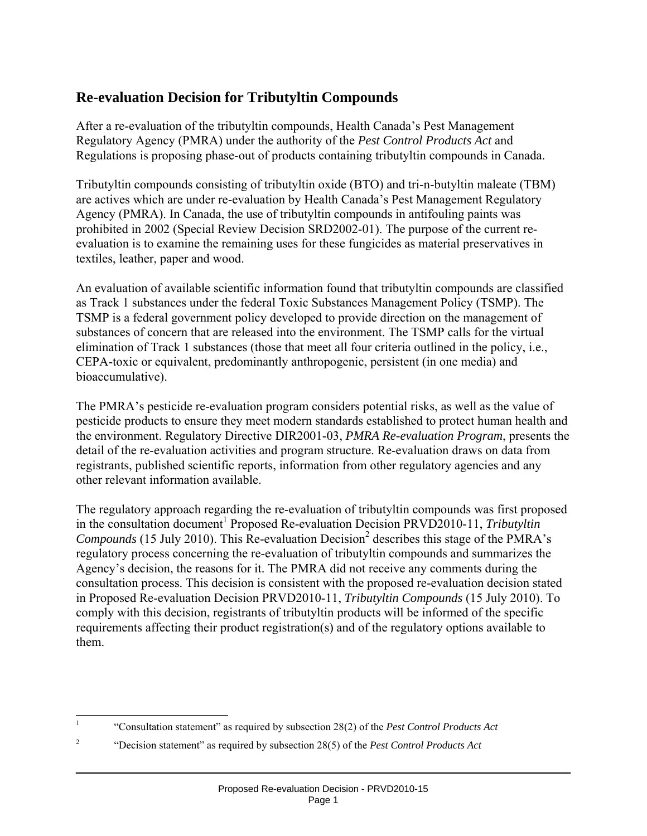# **Re-evaluation Decision for Tributyltin Compounds**

After a re-evaluation of the tributyltin compounds, Health Canada's Pest Management Regulatory Agency (PMRA) under the authority of the *Pest Control Products Act* and Regulations is proposing phase-out of products containing tributyltin compounds in Canada.

Tributyltin compounds consisting of tributyltin oxide (BTO) and tri-n-butyltin maleate (TBM) are actives which are under re-evaluation by Health Canada's Pest Management Regulatory Agency (PMRA). In Canada, the use of tributyltin compounds in antifouling paints was prohibited in 2002 (Special Review Decision SRD2002-01). The purpose of the current reevaluation is to examine the remaining uses for these fungicides as material preservatives in textiles, leather, paper and wood.

An evaluation of available scientific information found that tributyltin compounds are classified as Track 1 substances under the federal Toxic Substances Management Policy (TSMP). The TSMP is a federal government policy developed to provide direction on the management of substances of concern that are released into the environment. The TSMP calls for the virtual elimination of Track 1 substances (those that meet all four criteria outlined in the policy, i.e., CEPA-toxic or equivalent, predominantly anthropogenic, persistent (in one media) and bioaccumulative).

The PMRA's pesticide re-evaluation program considers potential risks, as well as the value of pesticide products to ensure they meet modern standards established to protect human health and the environment. Regulatory Directive DIR2001-03, *PMRA Re-evaluation Program*, presents the detail of the re-evaluation activities and program structure. Re-evaluation draws on data from registrants, published scientific reports, information from other regulatory agencies and any other relevant information available.

The regulatory approach regarding the re-evaluation of tributyltin compounds was first proposed in the consultation document<sup>1</sup> Proposed Re-evaluation Decision PRVD2010-11, *Tributyltin* Compounds (15 July 2010). This Re-evaluation Decision<sup>2</sup> describes this stage of the PMRA's regulatory process concerning the re-evaluation of tributyltin compounds and summarizes the Agency's decision, the reasons for it. The PMRA did not receive any comments during the consultation process. This decision is consistent with the proposed re-evaluation decision stated in Proposed Re-evaluation Decision PRVD2010-11, *Tributyltin Compounds* (15 July 2010). To comply with this decision, registrants of tributyltin products will be informed of the specific requirements affecting their product registration(s) and of the regulatory options available to them.

 $\mathbf{1}$ <sup>1</sup> "Consultation statement" as required by subsection 28(2) of the *Pest Control Products Act*

<sup>2</sup> "Decision statement" as required by subsection 28(5) of the *Pest Control Products Act*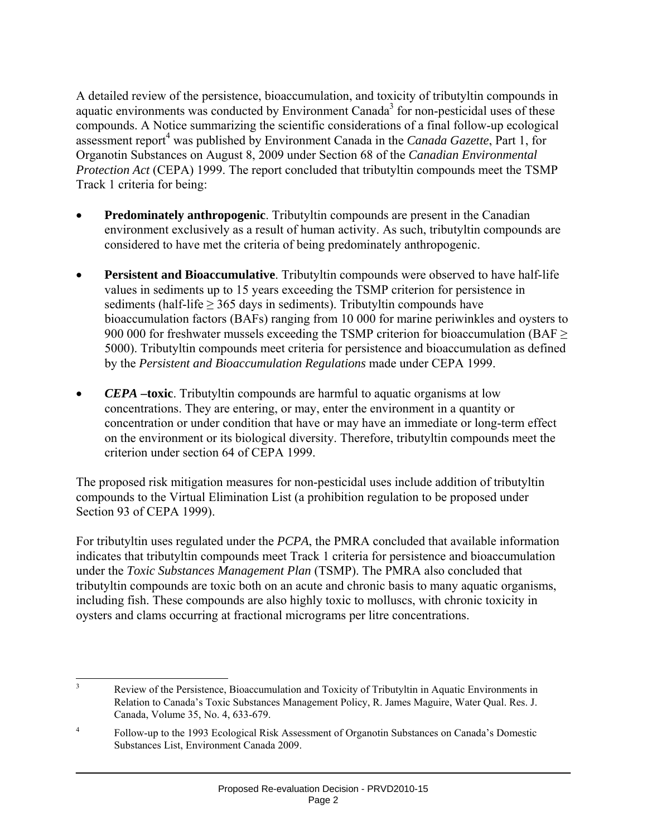A detailed review of the persistence, bioaccumulation, and toxicity of tributyltin compounds in aquatic environments was conducted by Environment Canada<sup>3</sup> for non-pesticidal uses of these compounds. A Notice summarizing the scientific considerations of a final follow-up ecological assessment report<sup>4</sup> was published by Environment Canada in the *Canada Gazette*, Part 1, for Organotin Substances on August 8, 2009 under Section 68 of the *Canadian Environmental Protection Act* (CEPA) 1999. The report concluded that tributyltin compounds meet the TSMP Track 1 criteria for being:

- **Predominately anthropogenic**. Tributyltin compounds are present in the Canadian environment exclusively as a result of human activity. As such, tributyltin compounds are considered to have met the criteria of being predominately anthropogenic.
- **Persistent and Bioaccumulative**. Tributyltin compounds were observed to have half-life values in sediments up to 15 years exceeding the TSMP criterion for persistence in sediments (half-life  $\geq$  365 days in sediments). Tributyltin compounds have bioaccumulation factors (BAFs) ranging from 10 000 for marine periwinkles and oysters to 900 000 for freshwater mussels exceeding the TSMP criterion for bioaccumulation (BAF  $\geq$ 5000). Tributyltin compounds meet criteria for persistence and bioaccumulation as defined by the *Persistent and Bioaccumulation Regulations* made under CEPA 1999.
- *CEPA* **–toxic**. Tributyltin compounds are harmful to aquatic organisms at low concentrations. They are entering, or may, enter the environment in a quantity or concentration or under condition that have or may have an immediate or long-term effect on the environment or its biological diversity. Therefore, tributyltin compounds meet the criterion under section 64 of CEPA 1999.

The proposed risk mitigation measures for non-pesticidal uses include addition of tributyltin compounds to the Virtual Elimination List (a prohibition regulation to be proposed under Section 93 of CEPA 1999).

For tributyltin uses regulated under the *PCPA*, the PMRA concluded that available information indicates that tributyltin compounds meet Track 1 criteria for persistence and bioaccumulation under the *Toxic Substances Management Plan* (TSMP). The PMRA also concluded that tributyltin compounds are toxic both on an acute and chronic basis to many aquatic organisms, including fish. These compounds are also highly toxic to molluscs, with chronic toxicity in oysters and clams occurring at fractional micrograms per litre concentrations.

 3 Review of the Persistence, Bioaccumulation and Toxicity of Tributyltin in Aquatic Environments in Relation to Canada's Toxic Substances Management Policy, R. James Maguire, Water Qual. Res. J. Canada, Volume 35, No. 4, 633-679.

<sup>4</sup> Follow-up to the 1993 Ecological Risk Assessment of Organotin Substances on Canada's Domestic Substances List, Environment Canada 2009.